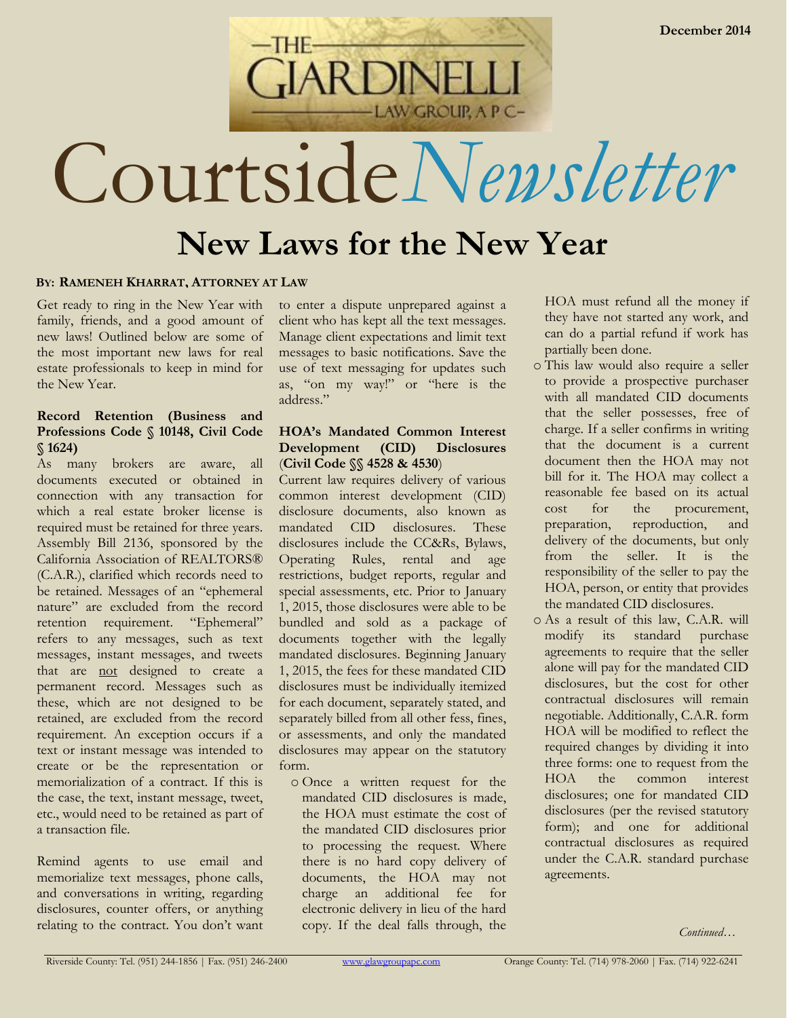

# Courtside*Newsletter*

# **New Laws for the New Year**

# **BY: RAMENEH KHARRAT, ATTORNEY AT LAW**

Get ready to ring in the New Year with family, friends, and a good amount of new laws! Outlined below are some of the most important new laws for real estate professionals to keep in mind for the New Year.

# **Record Retention (Business and Professions Code § 10148, Civil Code § 1624)**

As many brokers are aware, all documents executed or obtained in connection with any transaction for which a real estate broker license is required must be retained for three years. Assembly Bill 2136, sponsored by the California Association of REALTORS® (C.A.R.), clarified which records need to be retained. Messages of an "ephemeral nature" are excluded from the record retention requirement. "Ephemeral" refers to any messages, such as text messages, instant messages, and tweets that are not designed to create a permanent record. Messages such as these, which are not designed to be retained, are excluded from the record requirement. An exception occurs if a text or instant message was intended to create or be the representation or memorialization of a contract. If this is the case, the text, instant message, tweet, etc., would need to be retained as part of a transaction file.

Remind agents to use email and memorialize text messages, phone calls, and conversations in writing, regarding disclosures, counter offers, or anything relating to the contract. You don't want

to enter a dispute unprepared against a client who has kept all the text messages. Manage client expectations and limit text messages to basic notifications. Save the use of text messaging for updates such as, "on my way!" or "here is the address."

# **HOA's Mandated Common Interest Development (CID) Disclosures** (**Civil Code §§ 4528 & 4530**)

Current law requires delivery of various common interest development (CID) disclosure documents, also known as mandated CID disclosures. These disclosures include the CC&Rs, Bylaws, Operating Rules, rental and age restrictions, budget reports, regular and special assessments, etc. Prior to January 1, 2015, those disclosures were able to be bundled and sold as a package of documents together with the legally mandated disclosures. Beginning January 1, 2015, the fees for these mandated CID disclosures must be individually itemized for each document, separately stated, and separately billed from all other fess, fines, or assessments, and only the mandated disclosures may appear on the statutory form.

o Once a written request for the mandated CID disclosures is made, the HOA must estimate the cost of the mandated CID disclosures prior to processing the request. Where there is no hard copy delivery of documents, the HOA may not charge an additional fee for electronic delivery in lieu of the hard copy. If the deal falls through, the

HOA must refund all the money if they have not started any work, and can do a partial refund if work has partially been done.

- o This law would also require a seller to provide a prospective purchaser with all mandated CID documents that the seller possesses, free of charge. If a seller confirms in writing that the document is a current document then the HOA may not bill for it. The HOA may collect a reasonable fee based on its actual cost for the procurement, preparation, reproduction, and delivery of the documents, but only from the seller. It is the responsibility of the seller to pay the HOA, person, or entity that provides the mandated CID disclosures.
- o As a result of this law, C.A.R. will modify its standard purchase agreements to require that the seller alone will pay for the mandated CID disclosures, but the cost for other contractual disclosures will remain negotiable. Additionally, C.A.R. form HOA will be modified to reflect the required changes by dividing it into three forms: one to request from the HOA the common interest disclosures; one for mandated CID disclosures (per the revised statutory form); and one for additional contractual disclosures as required under the C.A.R. standard purchase agreements.

*Continued…*